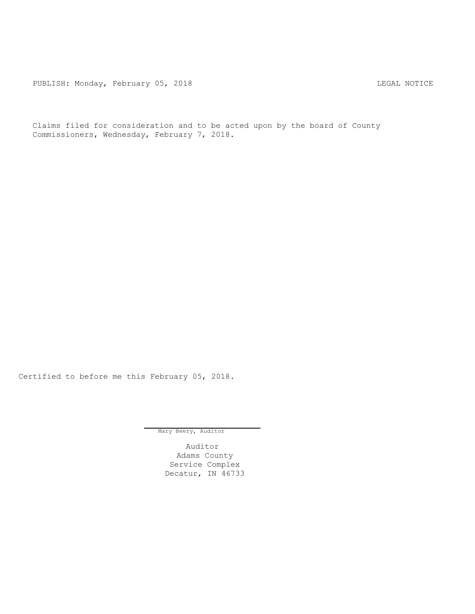PUBLISH: Monday, February 05, 2018 CHA CHANGE CONSTRUCTED MOTICE

Claims filed for consideration and to be acted upon by the board of County Commissioners, Wednesday, February 7, 2018.

Certified to before me this February 05, 2018.

Mary Beery, Auditor

Auditor Adams County Service Complex Decatur, IN 46733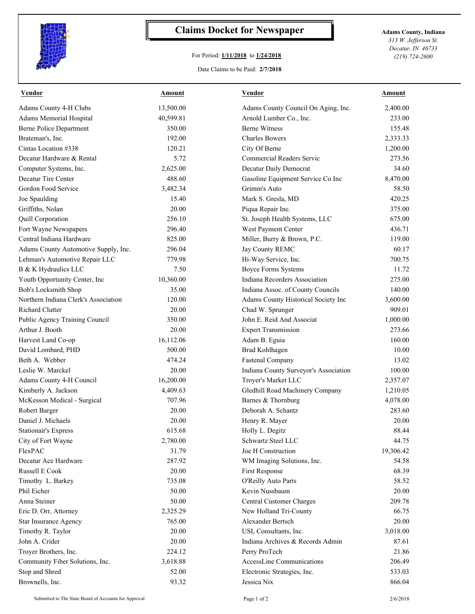

## **Claims Docket for Newspaper Adams County, Indiana**

## For Period: **1/11/2018** to **1/24/2018**

*313 W. Jefferson St. Decatur, IN 46733 (219) 724-2600*

## Date Claims to be Paid: **2/7/2018**

| <b>Vendor</b>                        | <b>Amount</b> | <b>Vendor</b>                         | Amount    |
|--------------------------------------|---------------|---------------------------------------|-----------|
| Adams County 4-H Clubs               | 13,500.00     | Adams County Council On Aging, Inc.   | 2,400.00  |
| Adams Memorial Hospital              | 40,599.81     | Arnold Lumber Co., Inc.               | 233.00    |
| <b>Berne Police Department</b>       | 350.00        | <b>Berne Witness</b>                  | 155.48    |
| Brateman's, Inc.                     | 192.00        | <b>Charles Bowers</b>                 | 2,333.33  |
| Cintas Location #338                 | 120.21        | City Of Berne                         | 1,200.00  |
| Decatur Hardware & Rental            | 5.72          | Commercial Readers Servic             | 273.56    |
| Computer Systems, Inc.               | 2,625.00      | Decatur Daily Democrat                | 34.60     |
| Decatur Tire Center                  | 488.60        | Gasoline Equipment Service Co Inc     | 8,470.00  |
| Gordon Food Service                  | 3,482.34      | Grimm's Auto                          | 58.50     |
| Joe Spaulding                        | 15.40         | Mark S. Gresla, MD                    | 420.25    |
| Griffiths, Nolan                     | 20.00         | Piqua Repair Inc.                     | 375.00    |
| Quill Corporation                    | 256.10        | St. Joseph Health Systems, LLC        | 675.00    |
| Fort Wayne Newspapers                | 296.40        | West Payment Center                   | 436.71    |
| Central Indiana Hardware             | 825.00        | Miller, Burry & Brown, P.C.           | 119.00    |
| Adams County Automotive Supply, Inc. | 296.04        | Jay County REMC                       | 60.17     |
| Lehman's Automotive Repair LLC       | 779.98        | Hi-Way Service, Inc.                  | 700.75    |
| B & K Hydraulics LLC                 | 7.50          | <b>Boyce Forms Systems</b>            | 11.72     |
| Youth Opportunity Center, Inc        | 10,360.00     | Indiana Recorders Association         | 275.00    |
| Bob's Locksmith Shop                 | 35.00         | Indiana Assoc. of County Councils     | 140.00    |
| Northern Indiana Clerk's Association | 120.00        | Adams County Historical Society Inc   | 3,600.00  |
| Richard Clutter                      | 20.00         | Chad W. Sprunger                      | 909.01    |
| Public Agency Training Council       | 350.00        | John E. Reid And Associat             | 1,000.00  |
| Arthur J. Booth                      | 20.00         | <b>Expert Transmission</b>            | 273.66    |
| Harvest Land Co-op                   | 16,112.06     | Adam B. Eguia                         | 160.00    |
| David Lombard, PHD                   | 500.00        | <b>Brad Kohlhagen</b>                 | 10.00     |
| Beth A. Webber                       | 474.24        | <b>Fastenal Company</b>               | 13.02     |
| Leslie W. Marckel                    | 20.00         | Indiana County Surveyor's Association | 100.00    |
| Adams County 4-H Council             | 16,200.00     | Troyer's Market LLC                   | 2,357.07  |
| Kimberly A. Jackson                  | 4,409.63      | Gledhill Road Machinery Company       | 1,210.05  |
| McKesson Medical - Surgical          | 707.96        | Barnes & Thornburg                    | 4,078.00  |
| Robert Barger                        | 20.00         | Deborah A. Schantz                    | 283.60    |
| Daniel J. Michaels                   | 20.00         | Henry R. Mayer                        | 20.00     |
|                                      |               | Holly L. Degitz                       |           |
| <b>Stationair's Express</b>          | 615.68        |                                       | 88.44     |
| City of Fort Wayne                   | 2,780.00      | Schwartz Steel LLC                    | 44.75     |
| FlexPAC                              | 31.79         | Joe H Construction                    | 19,306.42 |
| Decatur Ace Hardware                 | 287.92        | WM Imaging Solutions, Inc.            | 54.58     |
| Russell E Cook                       | 20.00         | First Response                        | 68.39     |
| Timothy L. Barkey                    | 735.08        | O'Reilly Auto Parts                   | 58.52     |
| Phil Eicher                          | 50.00         | Kevin Nussbaum                        | 20.00     |
| Anna Steiner                         | 50.00         | Central Customer Charges              | 209.78    |
| Eric D. Orr, Attorney                | 2,325.29      | New Holland Tri-County                | 66.75     |
| Star Insurance Agency                | 765.00        | Alexander Bertsch                     | 20.00     |
| Timothy R. Taylor                    | 20.00         | USI, Consultants, Inc.                | 3,018.00  |
| John A. Crider                       | 20.00         | Indiana Archives & Records Admin      | 87.61     |
| Troyer Brothers, Inc.                | 224.12        | Perry ProTech                         | 21.86     |
| Community Fiber Solutions, Inc.      | 3,618.88      | AccessLine Communications             | 206.49    |
| Stop and Shred                       | 52.00         | Electronic Strategies, Inc.           | 533.03    |
| Brownells, Inc.                      | 93.32         | Jessica Nix                           | 866.04    |